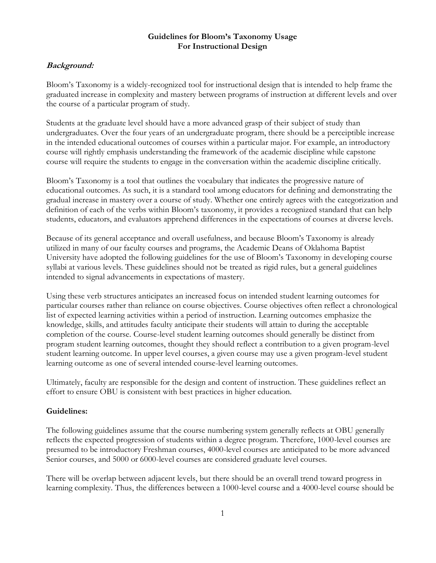### **Guidelines for Bloom's Taxonomy Usage For Instructional Design**

## **Background:**

Bloom's Taxonomy is a widely-recognized tool for instructional design that is intended to help frame the graduated increase in complexity and mastery between programs of instruction at different levels and over the course of a particular program of study.

Students at the graduate level should have a more advanced grasp of their subject of study than undergraduates. Over the four years of an undergraduate program, there should be a perceiptible increase in the intended educational outcomes of courses within a particular major. For example, an introductory course will rightly emphasis understanding the framework of the academic discipline while capstone course will require the students to engage in the conversation within the academic discipline critically.

Bloom's Taxonomy is a tool that outlines the vocabulary that indicates the progressive nature of educational outcomes. As such, it is a standard tool among educators for defining and demonstrating the gradual increase in mastery over a course of study. Whether one entirely agrees with the categorization and definition of each of the verbs within Bloom's taxonomy, it provides a recognized standard that can help students, educators, and evaluators apprehend differences in the expectations of courses at diverse levels.

Because of its general acceptance and overall usefulness, and because Bloom's Taxonomy is already utilized in many of our faculty courses and programs, the Academic Deans of Oklahoma Baptist University have adopted the following guidelines for the use of Bloom's Taxonomy in developing course syllabi at various levels. These guidelines should not be treated as rigid rules, but a general guidelines intended to signal advancements in expectations of mastery.

Using these verb structures anticipates an increased focus on intended student learning outcomes for particular courses rather than reliance on course objectives. Course objectives often reflect a chronological list of expected learning activities within a period of instruction. Learning outcomes emphasize the knowledge, skills, and attitudes faculty anticipate their students will attain to during the acceptable completion of the course. Course-level student learning outcomes should generally be distinct from program student learning outcomes, thought they should reflect a contribution to a given program-level student learning outcome. In upper level courses, a given course may use a given program-level student learning outcome as one of several intended course-level learning outcomes.

Ultimately, faculty are responsible for the design and content of instruction. These guidelines reflect an effort to ensure OBU is consistent with best practices in higher education.

### **Guidelines:**

The following guidelines assume that the course numbering system generally reflects at OBU generally reflects the expected progression of students within a degree program. Therefore, 1000-level courses are presumed to be introductory Freshman courses, 4000-level courses are anticipated to be more advanced Senior courses, and 5000 or 6000-level courses are considered graduate level courses.

There will be overlap between adjacent levels, but there should be an overall trend toward progress in learning complexity. Thus, the differences between a 1000-level course and a 4000-level course should be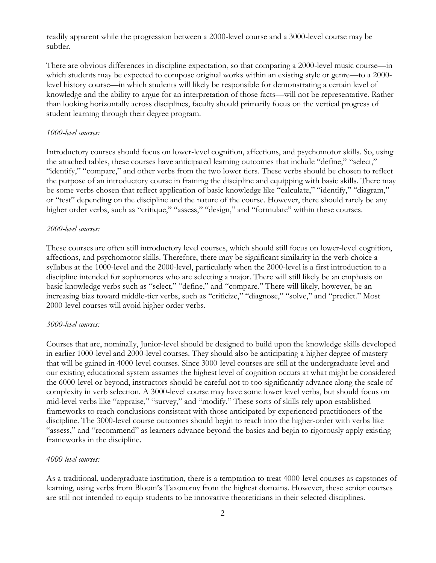readily apparent while the progression between a 2000-level course and a 3000-level course may be subtler.

There are obvious differences in discipline expectation, so that comparing a 2000-level music course—in which students may be expected to compose original works within an existing style or genre—to a 2000 level history course—in which students will likely be responsible for demonstrating a certain level of knowledge and the ability to argue for an interpretation of those facts—will not be representative. Rather than looking horizontally across disciplines, faculty should primarily focus on the vertical progress of student learning through their degree program.

#### *1000-level courses:*

Introductory courses should focus on lower-level cognition, affections, and psychomotor skills. So, using the attached tables, these courses have anticipated learning outcomes that include "define," "select," "identify," "compare," and other verbs from the two lower tiers. These verbs should be chosen to reflect the purpose of an introductory course in framing the discipline and equipping with basic skills. There may be some verbs chosen that reflect application of basic knowledge like "calculate," "identify," "diagram," or "test" depending on the discipline and the nature of the course. However, there should rarely be any higher order verbs, such as "critique," "assess," "design," and "formulate" within these courses.

#### *2000-level courses:*

These courses are often still introductory level courses, which should still focus on lower-level cognition, affections, and psychomotor skills. Therefore, there may be significant similarity in the verb choice a syllabus at the 1000-level and the 2000-level, particularly when the 2000-level is a first introduction to a discipline intended for sophomores who are selecting a major. There will still likely be an emphasis on basic knowledge verbs such as "select," "define," and "compare." There will likely, however, be an increasing bias toward middle-tier verbs, such as "criticize," "diagnose," "solve," and "predict." Most 2000-level courses will avoid higher order verbs.

#### *3000-level courses:*

Courses that are, nominally, Junior-level should be designed to build upon the knowledge skills developed in earlier 1000-level and 2000-level courses. They should also be anticipating a higher degree of mastery that will be gained in 4000-level courses. Since 3000-level courses are still at the undergraduate level and our existing educational system assumes the highest level of cognition occurs at what might be considered the 6000-level or beyond, instructors should be careful not to too significantly advance along the scale of complexity in verb selection. A 3000-level course may have some lower level verbs, but should focus on mid-level verbs like "appraise," "survey," and "modify." These sorts of skills rely upon established frameworks to reach conclusions consistent with those anticipated by experienced practitioners of the discipline. The 3000-level course outcomes should begin to reach into the higher-order with verbs like "assess," and "recommend" as learners advance beyond the basics and begin to rigorously apply existing frameworks in the discipline.

#### *4000-level courses:*

As a traditional, undergraduate institution, there is a temptation to treat 4000-level courses as capstones of learning, using verbs from Bloom's Taxonomy from the highest domains. However, these senior courses are still not intended to equip students to be innovative theoreticians in their selected disciplines.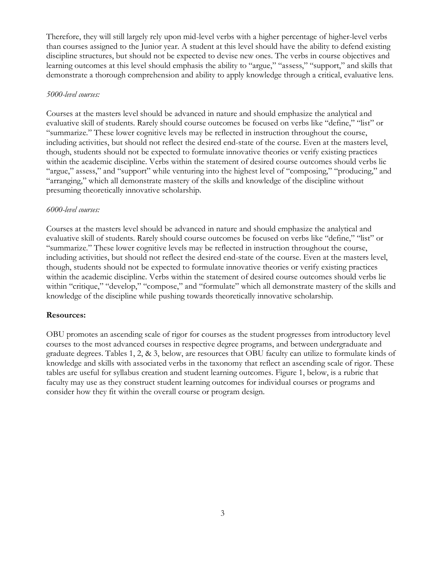Therefore, they will still largely rely upon mid-level verbs with a higher percentage of higher-level verbs than courses assigned to the Junior year. A student at this level should have the ability to defend existing discipline structures, but should not be expected to devise new ones. The verbs in course objectives and learning outcomes at this level should emphasis the ability to "argue," "assess," "support," and skills that demonstrate a thorough comprehension and ability to apply knowledge through a critical, evaluative lens.

#### *5000-level courses:*

Courses at the masters level should be advanced in nature and should emphasize the analytical and evaluative skill of students. Rarely should course outcomes be focused on verbs like "define," "list" or "summarize." These lower cognitive levels may be reflected in instruction throughout the course, including activities, but should not reflect the desired end-state of the course. Even at the masters level, though, students should not be expected to formulate innovative theories or verify existing practices within the academic discipline. Verbs within the statement of desired course outcomes should verbs lie "argue," assess," and "support" while venturing into the highest level of "composing," "producing," and "arranging," which all demonstrate mastery of the skills and knowledge of the discipline without presuming theoretically innovative scholarship.

#### *6000-level courses:*

Courses at the masters level should be advanced in nature and should emphasize the analytical and evaluative skill of students. Rarely should course outcomes be focused on verbs like "define," "list" or "summarize." These lower cognitive levels may be reflected in instruction throughout the course, including activities, but should not reflect the desired end-state of the course. Even at the masters level, though, students should not be expected to formulate innovative theories or verify existing practices within the academic discipline. Verbs within the statement of desired course outcomes should verbs lie within "critique," "develop," "compose," and "formulate" which all demonstrate mastery of the skills and knowledge of the discipline while pushing towards theoretically innovative scholarship.

#### **Resources:**

OBU promotes an ascending scale of rigor for courses as the student progresses from introductory level courses to the most advanced courses in respective degree programs, and between undergraduate and graduate degrees. Tables 1, 2, & 3, below, are resources that OBU faculty can utilize to formulate kinds of knowledge and skills with associated verbs in the taxonomy that reflect an ascending scale of rigor. These tables are useful for syllabus creation and student learning outcomes. Figure 1, below, is a rubric that faculty may use as they construct student learning outcomes for individual courses or programs and consider how they fit within the overall course or program design.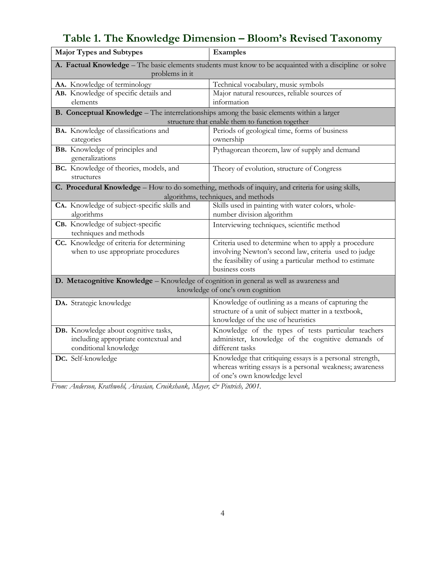| <b>Major Types and Subtypes</b>                                                                                            | <b>Examples</b>                                                                                   |  |  |  |
|----------------------------------------------------------------------------------------------------------------------------|---------------------------------------------------------------------------------------------------|--|--|--|
| A. Factual Knowledge - The basic elements students must know to be acquainted with a discipline or solve<br>problems in it |                                                                                                   |  |  |  |
| AA. Knowledge of terminology                                                                                               | Technical vocabulary, music symbols                                                               |  |  |  |
| AB. Knowledge of specific details and                                                                                      | Major natural resources, reliable sources of                                                      |  |  |  |
| elements                                                                                                                   | information                                                                                       |  |  |  |
| B. Conceptual Knowledge - The interrelationships among the basic elements within a larger                                  |                                                                                                   |  |  |  |
|                                                                                                                            | structure that enable them to function together                                                   |  |  |  |
| BA. Knowledge of classifications and                                                                                       | Periods of geological time, forms of business                                                     |  |  |  |
| categories                                                                                                                 | ownership                                                                                         |  |  |  |
| BB. Knowledge of principles and                                                                                            | Pythagorean theorem, law of supply and demand                                                     |  |  |  |
| generalizations                                                                                                            |                                                                                                   |  |  |  |
| BC. Knowledge of theories, models, and                                                                                     | Theory of evolution, structure of Congress                                                        |  |  |  |
| structures                                                                                                                 |                                                                                                   |  |  |  |
|                                                                                                                            | C. Procedural Knowledge - How to do something, methods of inquiry, and criteria for using skills, |  |  |  |
|                                                                                                                            | algorithms, techniques, and methods                                                               |  |  |  |
| CA. Knowledge of subject-specific skills and                                                                               | Skills used in painting with water colors, whole-                                                 |  |  |  |
| algorithms                                                                                                                 | number division algorithm                                                                         |  |  |  |
| CB. Knowledge of subject-specific                                                                                          | Interviewing techniques, scientific method                                                        |  |  |  |
| techniques and methods                                                                                                     |                                                                                                   |  |  |  |
| CC. Knowledge of criteria for determining                                                                                  | Criteria used to determine when to apply a procedure                                              |  |  |  |
| when to use appropriate procedures                                                                                         | involving Newton's second law, criteria used to judge                                             |  |  |  |
|                                                                                                                            | the feasibility of using a particular method to estimate                                          |  |  |  |
|                                                                                                                            | business costs                                                                                    |  |  |  |
| D. Metacognitive Knowledge – Knowledge of cognition in general as well as awareness and                                    |                                                                                                   |  |  |  |
| knowledge of one's own cognition                                                                                           |                                                                                                   |  |  |  |
| DA. Strategic knowledge                                                                                                    | Knowledge of outlining as a means of capturing the                                                |  |  |  |
|                                                                                                                            | structure of a unit of subject matter in a textbook,                                              |  |  |  |
|                                                                                                                            | knowledge of the use of heuristics                                                                |  |  |  |
| DB. Knowledge about cognitive tasks,                                                                                       | Knowledge of the types of tests particular teachers                                               |  |  |  |
| including appropriate contextual and                                                                                       | administer, knowledge of the cognitive demands of                                                 |  |  |  |
| conditional knowledge                                                                                                      | different tasks                                                                                   |  |  |  |
| DC. Self-knowledge                                                                                                         | Knowledge that critiquing essays is a personal strength,                                          |  |  |  |
|                                                                                                                            | whereas writing essays is a personal weakness; awareness                                          |  |  |  |
|                                                                                                                            | of one's own knowledge level                                                                      |  |  |  |

# **Table 1. The Knowledge Dimension – Bloom's Revised Taxonomy**

*From: Anderson, Krathwohl, Airasian, Cruikshank, Mayer, & Pintrich, 2001.*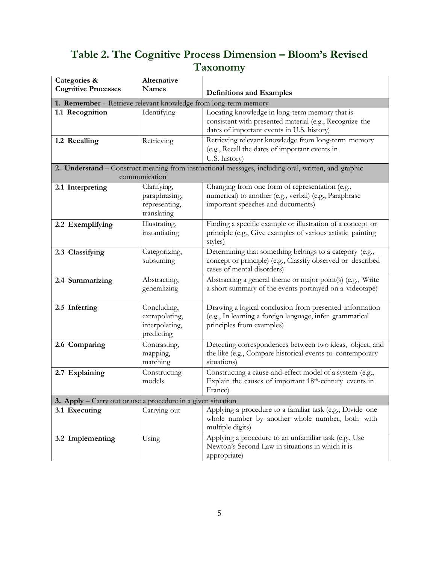# **Table 2. The Cognitive Process Dimension – Bloom's Revised Taxonomy**

| Categories &                                                                                                         | Alternative                   |                                                                                                                     |  |  |
|----------------------------------------------------------------------------------------------------------------------|-------------------------------|---------------------------------------------------------------------------------------------------------------------|--|--|
| <b>Cognitive Processes</b>                                                                                           | <b>Names</b>                  | <b>Definitions and Examples</b>                                                                                     |  |  |
| 1. Remember – Retrieve relevant knowledge from long-term memory                                                      |                               |                                                                                                                     |  |  |
| 1.1 Recognition                                                                                                      | Identifying                   | Locating knowledge in long-term memory that is                                                                      |  |  |
|                                                                                                                      |                               | consistent with presented material (e.g., Recognize the                                                             |  |  |
|                                                                                                                      |                               | dates of important events in U.S. history)                                                                          |  |  |
| 1.2 Recalling                                                                                                        | Retrieving                    | Retrieving relevant knowledge from long-term memory                                                                 |  |  |
|                                                                                                                      |                               | (e.g., Recall the dates of important events in                                                                      |  |  |
| U.S. history)<br>2. Understand – Construct meaning from instructional messages, including oral, written, and graphic |                               |                                                                                                                     |  |  |
|                                                                                                                      | communication                 |                                                                                                                     |  |  |
| 2.1 Interpreting                                                                                                     | Clarifying,                   | Changing from one form of representation (e.g.,                                                                     |  |  |
|                                                                                                                      | paraphrasing,                 | numerical) to another (e.g., verbal) (e.g., Paraphrase                                                              |  |  |
|                                                                                                                      | representing,                 | important speeches and documents)                                                                                   |  |  |
|                                                                                                                      | translating                   |                                                                                                                     |  |  |
| 2.2 Exemplifying                                                                                                     | Illustrating,                 | Finding a specific example or illustration of a concept or                                                          |  |  |
|                                                                                                                      | instantiating                 | principle (e.g., Give examples of various artistic painting<br>styles)                                              |  |  |
| 2.3 Classifying                                                                                                      | Categorizing,                 | Determining that something belongs to a category (e.g.,                                                             |  |  |
|                                                                                                                      | subsuming                     | concept or principle) (e.g., Classify observed or described                                                         |  |  |
|                                                                                                                      |                               | cases of mental disorders)                                                                                          |  |  |
| 2.4 Summarizing                                                                                                      | Abstracting,                  | Abstracting a general theme or major point(s) (e.g., Write                                                          |  |  |
|                                                                                                                      | generalizing                  | a short summary of the events portrayed on a videotape)                                                             |  |  |
|                                                                                                                      |                               |                                                                                                                     |  |  |
| 2.5 Inferring                                                                                                        | Concluding,<br>extrapolating, | Drawing a logical conclusion from presented information<br>(e.g., In learning a foreign language, infer grammatical |  |  |
|                                                                                                                      | interpolating,                | principles from examples)                                                                                           |  |  |
|                                                                                                                      | predicting                    |                                                                                                                     |  |  |
| 2.6 Comparing                                                                                                        | Contrasting,                  | Detecting correspondences between two ideas, object, and                                                            |  |  |
|                                                                                                                      | mapping,                      | the like (e.g., Compare historical events to contemporary                                                           |  |  |
|                                                                                                                      | matching                      | situations)                                                                                                         |  |  |
| 2.7 Explaining                                                                                                       | Constructing                  | Constructing a cause-and-effect model of a system (e.g.,                                                            |  |  |
|                                                                                                                      | models                        | Explain the causes of important 18th-century events in<br>France)                                                   |  |  |
| 3. Apply – Carry out or use a procedure in a given situation                                                         |                               |                                                                                                                     |  |  |
| 3.1 Executing                                                                                                        | Carrying out                  | Applying a procedure to a familiar task (e.g., Divide one                                                           |  |  |
|                                                                                                                      |                               | whole number by another whole number, both with                                                                     |  |  |
|                                                                                                                      |                               | multiple digits)                                                                                                    |  |  |
| 3.2 Implementing                                                                                                     | Using                         | Applying a procedure to an unfamiliar task (e.g., Use                                                               |  |  |
|                                                                                                                      |                               | Newton's Second Law in situations in which it is                                                                    |  |  |
|                                                                                                                      |                               | appropriate)                                                                                                        |  |  |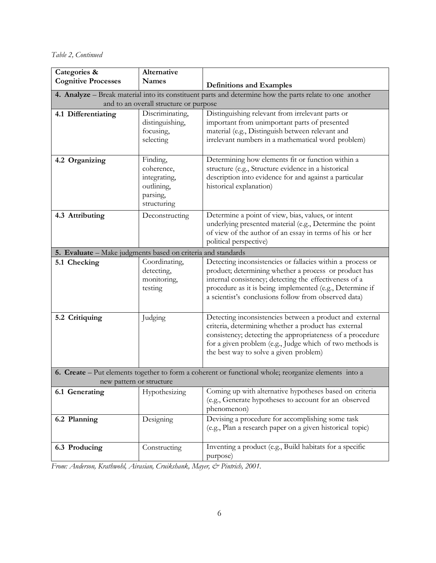### *Table 2, Continued*

| Categories &<br><b>Cognitive Processes</b>                                                                                                  | Alternative<br><b>Names</b>                                                     |                                                                                                                                                                                                                                                                                                   |  |  |
|---------------------------------------------------------------------------------------------------------------------------------------------|---------------------------------------------------------------------------------|---------------------------------------------------------------------------------------------------------------------------------------------------------------------------------------------------------------------------------------------------------------------------------------------------|--|--|
| <b>Definitions and Examples</b><br>4. Analyze – Break material into its constituent parts and determine how the parts relate to one another |                                                                                 |                                                                                                                                                                                                                                                                                                   |  |  |
|                                                                                                                                             | and to an overall structure or purpose                                          |                                                                                                                                                                                                                                                                                                   |  |  |
| 4.1 Differentiating                                                                                                                         | Discriminating,<br>distinguishing,<br>focusing,<br>selecting                    | Distinguishing relevant from irrelevant parts or<br>important from unimportant parts of presented<br>material (e.g., Distinguish between relevant and<br>irrelevant numbers in a mathematical word problem)                                                                                       |  |  |
| 4.2 Organizing                                                                                                                              | Finding,<br>coherence,<br>integrating,<br>outlining,<br>parsing,<br>structuring | Determining how elements fit or function within a<br>structure (e.g., Structure evidence in a historical<br>description into evidence for and against a particular<br>historical explanation)                                                                                                     |  |  |
| 4.3 Attributing                                                                                                                             | Deconstructing                                                                  | Determine a point of view, bias, values, or intent<br>underlying presented material (e.g., Determine the point<br>of view of the author of an essay in terms of his or her<br>political perspective)                                                                                              |  |  |
| 5. Evaluate - Make judgments based on criteria and standards                                                                                |                                                                                 |                                                                                                                                                                                                                                                                                                   |  |  |
| 5.1 Checking                                                                                                                                | Coordinating,<br>detecting,<br>monitoring,<br>testing                           | Detecting inconsistencies or fallacies within a process or<br>product; determining whether a process or product has<br>internal consistency; detecting the effectiveness of a<br>procedure as it is being implemented (e.g., Determine if<br>a scientist's conclusions follow from observed data) |  |  |
| 5.2 Critiquing                                                                                                                              | Judging                                                                         | Detecting inconsistencies between a product and external<br>criteria, determining whether a product has external<br>consistency; detecting the appropriateness of a procedure<br>for a given problem (e.g., Judge which of two methods is<br>the best way to solve a given problem)               |  |  |
| 6. Create – Put elements together to form a coherent or functional whole; reorganize elements into a<br>new pattern or structure            |                                                                                 |                                                                                                                                                                                                                                                                                                   |  |  |
| 6.1 Generating                                                                                                                              | Hypothesizing                                                                   | Coming up with alternative hypotheses based on criteria<br>(e.g., Generate hypotheses to account for an observed<br>phenomenon)                                                                                                                                                                   |  |  |
| 6.2 Planning                                                                                                                                | Designing                                                                       | Devising a procedure for accomplishing some task<br>(e.g., Plan a research paper on a given historical topic)                                                                                                                                                                                     |  |  |
| 6.3 Producing                                                                                                                               | Constructing                                                                    | Inventing a product (e.g., Build habitats for a specific<br>purpose)                                                                                                                                                                                                                              |  |  |

*From: Anderson, Krathwohl, Airasian, Cruikshank, Mayer, & Pintrich, 2001.*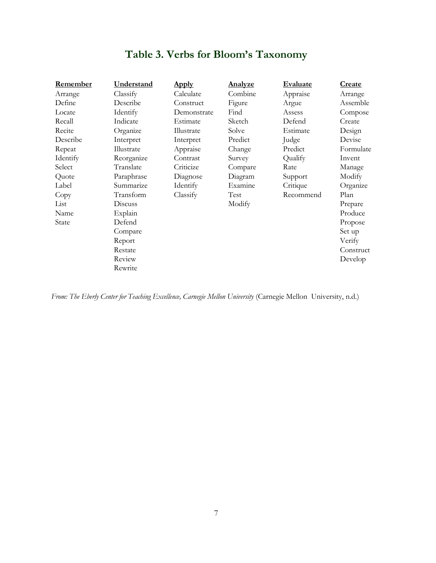# **Table 3. Verbs for Bloom's Taxonomy**

| <u>Remember</u> | <u>Understand</u> | <b>Apply</b> | <u>Analyze</u> | <b>Evaluate</b> | <b>Create</b> |
|-----------------|-------------------|--------------|----------------|-----------------|---------------|
| Arrange         | Classify          | Calculate    | Combine        | Appraise        | Arrange       |
| Define          | Describe          | Construct    | Figure         | Argue           | Assemble      |
| Locate          | Identify          | Demonstrate  | Find           | Assess          | Compose       |
| Recall          | Indicate          | Estimate     | Sketch         | Defend          | Create        |
| Recite          | Organize          | Illustrate   | Solve          | Estimate        | Design        |
| Describe        | Interpret         | Interpret    | Predict        | Judge           | Devise        |
| Repeat          | Illustrate        | Appraise     | Change         | Predict         | Formulate     |
| Identify        | Reorganize        | Contrast     | Survey         | Qualify         | Invent        |
| Select          | Translate         | Criticize    | Compare        | Rate            | Manage        |
| Quote           | Paraphrase        | Diagnose     | Diagram        | Support         | Modify        |
| Label           | Summarize         | Identify     | Examine        | Critique        | Organize      |
| Copy            | Transform         | Classify     | Test           | Recommend       | Plan          |
| List            | Discuss           |              | Modify         |                 | Prepare       |
| Name            | Explain           |              |                |                 | Produce       |
| State           | Defend            |              |                |                 | Propose       |
|                 | Compare           |              |                |                 | Set up        |
|                 | Report            |              |                |                 | Verify        |
|                 | Restate           |              |                |                 | Construct     |
|                 | Review            |              |                |                 | Develop       |
|                 | Rewrite           |              |                |                 |               |

*From: The Eberly Center for Teaching Excellence, Carnegie Mellon University* (Carnegie Mellon University, n.d.)